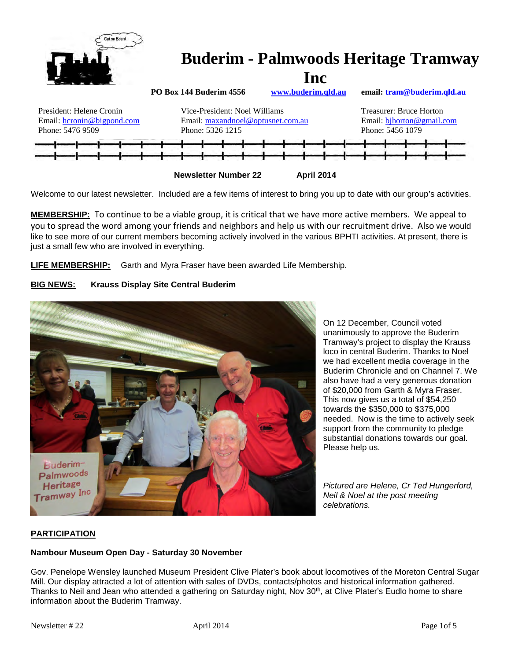

Welcome to our latest newsletter. Included are a few items of interest to bring you up to date with our group's activities.

**MEMBERSHIP:** To continue to be a viable group, it is critical that we have more active members. We appeal to you to spread the word among your friends and neighbors and help us with our recruitment drive. Also we would like to see more of our current members becoming actively involved in the various BPHTI activities. At present, there is just a small few who are involved in everything.

**LIFE MEMBERSHIP:** Garth and Myra Fraser have been awarded Life Membership.





On 12 December, Council voted unanimously to approve the Buderim Tramway's project to display the Krauss loco in central Buderim. Thanks to Noel we had excellent media coverage in the Buderim Chronicle and on Channel 7. We also have had a very generous donation of \$20,000 from Garth & Myra Fraser. This now gives us a total of \$54,250 towards the \$350,000 to \$375,000 needed. Now is the time to actively seek support from the community to pledge substantial donations towards our goal. Please help us.

*Pictured are Helene, Cr Ted Hungerford, Neil & Noel at the post meeting celebrations.*

# **PARTICIPATION**

## **Nambour Museum Open Day - Saturday 30 November**

Gov. Penelope Wensley launched Museum President Clive Plater's book about locomotives of the Moreton Central Sugar Mill. Our display attracted a lot of attention with sales of DVDs, contacts/photos and historical information gathered. Thanks to Neil and Jean who attended a gathering on Saturday night, Nov 30<sup>th</sup>, at Clive Plater's Eudlo home to share information about the Buderim Tramway.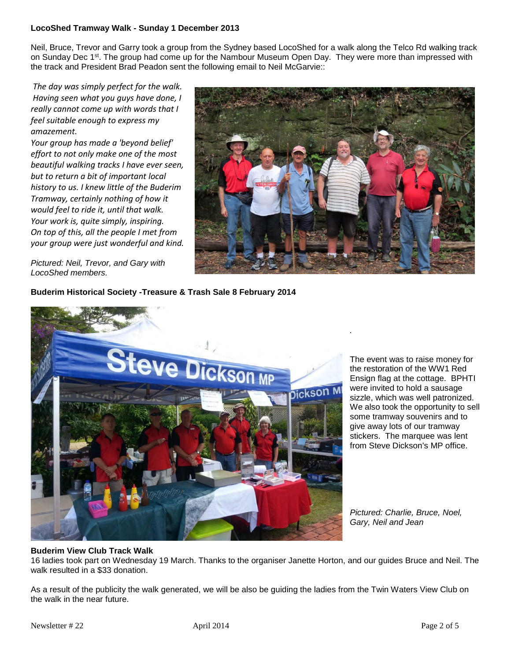## **LocoShed Tramway Walk - Sunday 1 December 2013**

Neil, Bruce, Trevor and Garry took a group from the Sydney based LocoShed for a walk along the Telco Rd walking track on Sunday Dec 1<sup>st</sup>. The group had come up for the Nambour Museum Open Day. They were more than impressed with the track and President Brad Peadon sent the following email to Neil McGarvie::

*The day was simply perfect for the walk. Having seen what you guys have done, I really cannot come up with words that I feel suitable enough to express my amazement.*

*Your group has made a 'beyond belief' effort to not only make one of the most beautiful walking tracks I have ever seen, but to return a bit of important local history to us. I knew little of the Buderim Tramway, certainly nothing of how it would feel to ride it, until that walk. Your work is, quite simply, inspiring. On top of this, all the people I met from your group were just wonderful and kind.*



*.* 

*Pictured: Neil, Trevor, and Gary with LocoShed members.*

**Buderim Historical Society -Treasure & Trash Sale 8 February 2014**



The event was to raise money for the restoration of the WW1 Red Ensign flag at the cottage. BPHTI were invited to hold a sausage sizzle, which was well patronized. We also took the opportunity to sell some tramway souvenirs and to give away lots of our tramway stickers. The marquee was lent from Steve Dickson's MP office.

*Pictured: Charlie, Bruce, Noel, Gary, Neil and Jean*

## **Buderim View Club Track Walk**

16 ladies took part on Wednesday 19 March. Thanks to the organiser Janette Horton, and our guides Bruce and Neil. The walk resulted in a \$33 donation.

As a result of the publicity the walk generated, we will be also be guiding the ladies from the Twin Waters View Club on the walk in the near future.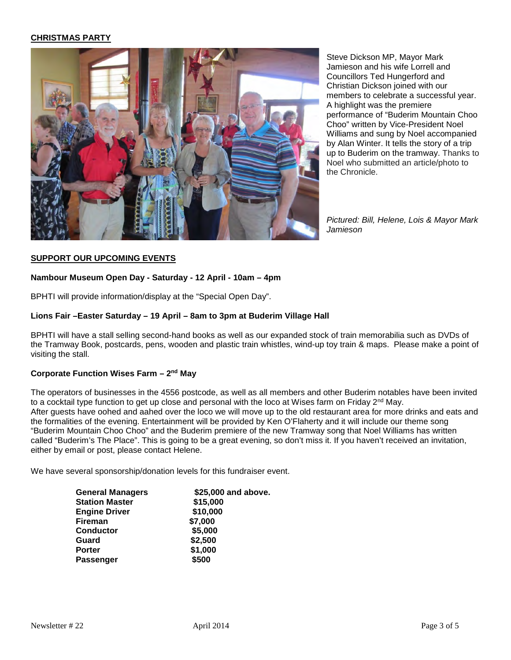#### **CHRISTMAS PARTY**



Steve Dickson MP, Mayor Mark Jamieson and his wife Lorrell and Councillors Ted Hungerford and Christian Dickson joined with our members to celebrate a successful year. A highlight was the premiere performance of "Buderim Mountain Choo Choo" written by Vice-President Noel Williams and sung by Noel accompanied by Alan Winter. It tells the story of a trip up to Buderim on the tramway. Thanks to Noel who submitted an article/photo to the Chronicle.

*Pictured: Bill, Helene, Lois & Mayor Mark Jamieson*

#### **SUPPORT OUR UPCOMING EVENTS**

#### **Nambour Museum Open Day - Saturday - 12 April - 10am – 4pm**

BPHTI will provide information/display at the "Special Open Day".

#### **Lions Fair –Easter Saturday – 19 April – 8am to 3pm at Buderim Village Hall**

BPHTI will have a stall selling second-hand books as well as our expanded stock of train memorabilia such as DVDs of the Tramway Book, postcards, pens, wooden and plastic train whistles, wind-up toy train & maps. Please make a point of visiting the stall.

#### **Corporate Function Wises Farm – 2nd May**

The operators of businesses in the 4556 postcode, as well as all members and other Buderim notables have been invited to a cocktail type function to get up close and personal with the loco at Wises farm on Friday 2<sup>nd</sup> May. After guests have oohed and aahed over the loco we will move up to the old restaurant area for more drinks and eats and the formalities of the evening. Entertainment will be provided by Ken O'Flaherty and it will include our theme song "Buderim Mountain Choo Choo" and the Buderim premiere of the new Tramway song that Noel Williams has written called "Buderim's The Place". This is going to be a great evening, so don't miss it. If you haven't received an invitation, either by email or post, please contact Helene.

We have several sponsorship/donation levels for this fundraiser event.

| <b>General Managers</b> | \$25,000 and above. |
|-------------------------|---------------------|
| <b>Station Master</b>   | \$15,000            |
| <b>Engine Driver</b>    | \$10,000            |
| <b>Fireman</b>          | \$7,000             |
| <b>Conductor</b>        | \$5,000             |
| Guard                   | \$2,500             |
| <b>Porter</b>           | \$1,000             |
| <b>Passenger</b>        | \$500               |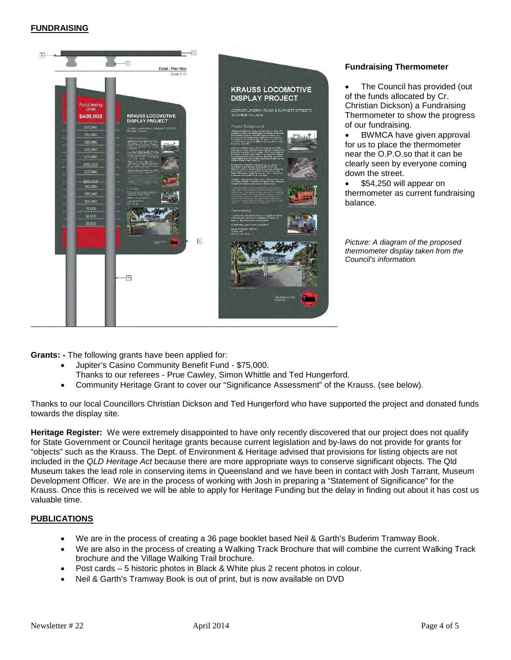#### **FUNDRAISING**



#### **Fundraising Thermometer**

The Council has provided (out of the funds allocated by Cr. Christian Dickson) a Fundraising Thermometer to show the progress of our fundraising.

• BWMCA have given approval for us to place the thermometer near the O.P.O.so that it can be clearly seen by everyone coming down the street.

\$54,250 will appear on thermometer as current fundraising balance.

*Picture: A diagram of the proposed thermometer display taken from the Council's information.* 

**Grants: -** The following grants have been applied for:

- Jupiter's Casino Community Benefit Fund \$75,000.
- Thanks to our referees Prue Cawley, Simon Whittle and Ted Hungerford.
- Community Heritage Grant to cover our "Significance Assessment" of the Krauss. (see below).

Thanks to our local Councillors Christian Dickson and Ted Hungerford who have supported the project and donated funds towards the display site.

**Heritage Register:** We were extremely disappointed to have only recently discovered that our project does not qualify for State Government or Council heritage grants because current legislation and by-laws do not provide for grants for "objects" such as the Krauss. The Dept. of Environment & Heritage advised that provisions for listing objects are not included in the *QLD Heritage Act* because there are more appropriate ways to conserve significant objects. The Qld Museum takes the lead role in conserving items in Queensland and we have been in contact with Josh Tarrant, Museum Development Officer. We are in the process of working with Josh in preparing a "Statement of Significance" for the Krauss. Once this is received we will be able to apply for Heritage Funding but the delay in finding out about it has cost us valuable time.

## **PUBLICATIONS**

- We are in the process of creating a 36 page booklet based Neil & Garth's Buderim Tramway Book.
- We are also in the process of creating a Walking Track Brochure that will combine the current Walking Track brochure and the Village Walking Trail brochure.
- Post cards 5 historic photos in Black & White plus 2 recent photos in colour.
- Neil & Garth's Tramway Book is out of print, but is now available on DVD